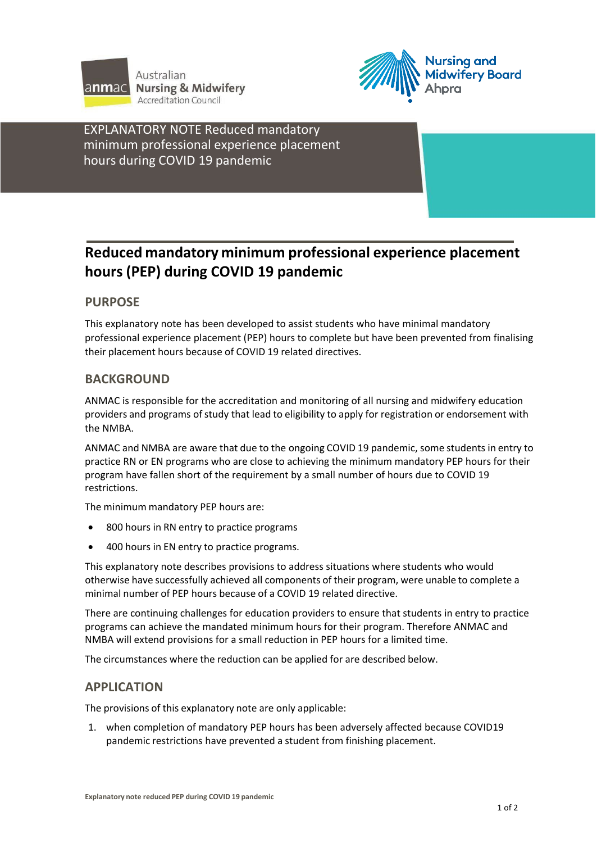



EXPLANATORY NOTE Reduced mandatory minimum professional experience placement hours during COVID 19 pandemic

**Studentsstudying outside Australia**

# **Reduced mandatory minimum professional experience placement hours (PEP) during COVID 19 pandemic**

## **PURPOSE**

This explanatory note has been developed to assist students who have minimal mandatory professional experience placement (PEP) hours to complete but have been prevented from finalising their placement hours because of COVID 19 related directives.

## **BACKGROUND**

ANMAC is responsible for the accreditation and monitoring of all nursing and midwifery education providers and programs of study that lead to eligibility to apply for registration or endorsement with the NMBA.

ANMAC and NMBA are aware that due to the ongoing COVID 19 pandemic, some students in entry to practice RN or EN programs who are close to achieving the minimum mandatory PEP hours for their program have fallen short of the requirement by a small number of hours due to COVID 19 restrictions.

The minimum mandatory PEP hours are:

- 800 hours in RN entry to practice programs
- 400 hours in EN entry to practice programs.

This explanatory note describes provisions to address situations where students who would otherwise have successfully achieved all components of their program, were unable to complete a minimal number of PEP hours because of a COVID 19 related directive.

There are continuing challenges for education providers to ensure that students in entry to practice programs can achieve the mandated minimum hours for their program. Therefore ANMAC and NMBA will extend provisions for a small reduction in PEP hours for a limited time.

The circumstances where the reduction can be applied for are described below.

### **APPLICATION**

The provisions of this explanatory note are only applicable:

1. when completion of mandatory PEP hours has been adversely affected because COVID19 pandemic restrictions have prevented a student from finishing placement.